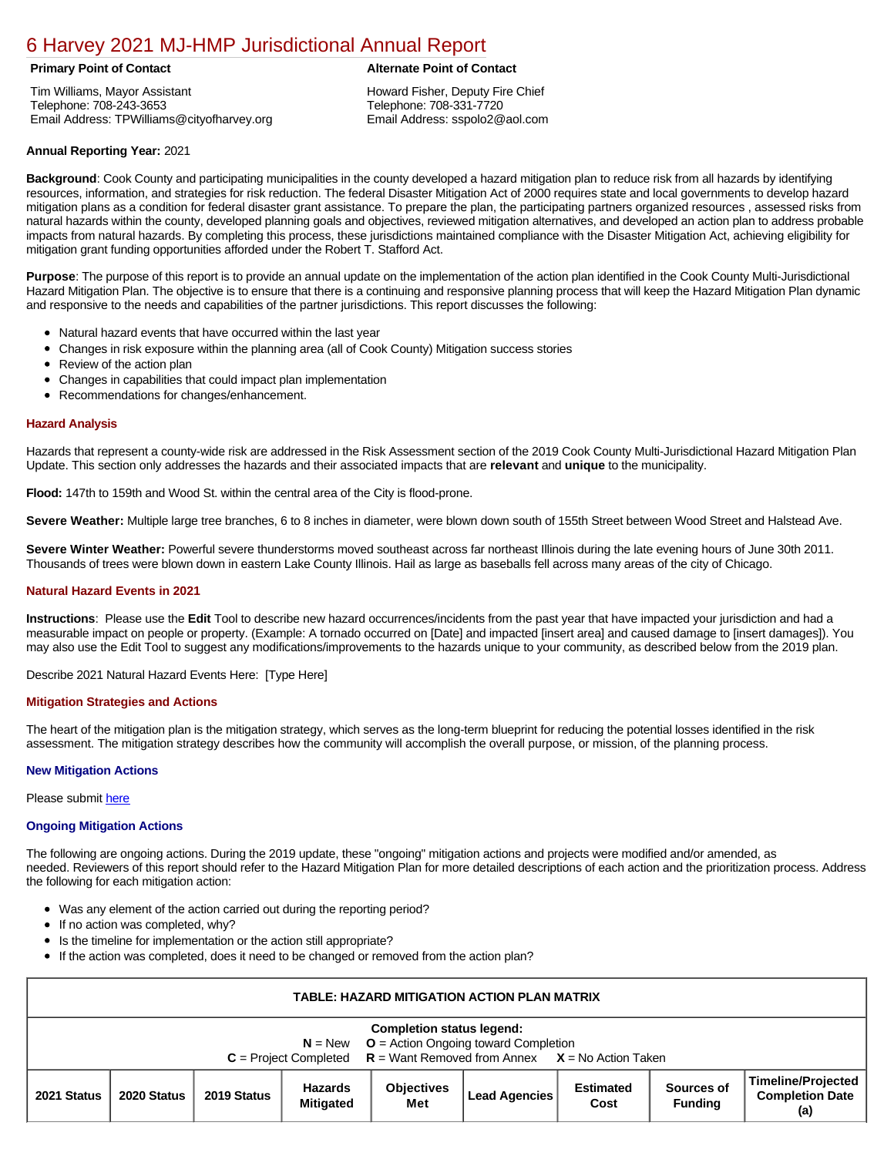# [6 Harvey 2021 MJ-HMP Jurisdictional Annual Report](https://harvey.isc-cemp.com/Cemp/Details?id=8322834)

Tim Williams, Mayor Assistant Telephone: 708-243-3653 Email Address: TPWilliams@cityofharvey.org

# **Primary Point of Contact Alternate Point of Contact**

Howard Fisher, Deputy Fire Chief Telephone: 708-331-7720 Email Address: sspolo2@aol.com

# **Annual Reporting Year:** 2021

**Background**: Cook County and participating municipalities in the county developed a hazard mitigation plan to reduce risk from all hazards by identifying resources, information, and strategies for risk reduction. The federal Disaster Mitigation Act of 2000 requires state and local governments to develop hazard mitigation plans as a condition for federal disaster grant assistance. To prepare the plan, the participating partners organized resources , assessed risks from natural hazards within the county, developed planning goals and objectives, reviewed mitigation alternatives, and developed an action plan to address probable impacts from natural hazards. By completing this process, these jurisdictions maintained compliance with the Disaster Mitigation Act, achieving eligibility for mitigation grant funding opportunities afforded under the Robert T. Stafford Act.

**Purpose**: The purpose of this report is to provide an annual update on the implementation of the action plan identified in the Cook County Multi-Jurisdictional Hazard Mitigation Plan. The objective is to ensure that there is a continuing and responsive planning process that will keep the Hazard Mitigation Plan dynamic and responsive to the needs and capabilities of the partner jurisdictions. This report discusses the following:

- Natural hazard events that have occurred within the last year
- Changes in risk exposure within the planning area (all of Cook County) Mitigation success stories
- $\bullet$ Review of the action plan
- Changes in capabilities that could impact plan implementation
- Recommendations for changes/enhancement.

# **Hazard Analysis**

Hazards that represent a county-wide risk are addressed in the Risk Assessment section of the 2019 Cook County Multi-Jurisdictional Hazard Mitigation Plan Update. This section only addresses the hazards and their associated impacts that are **relevant** and **unique** to the municipality.

**Flood:** 147th to 159th and Wood St. within the central area of the City is flood-prone.

**Severe Weather:** Multiple large tree branches, 6 to 8 inches in diameter, were blown down south of 155th Street between Wood Street and Halstead Ave.

**Severe Winter Weather:** Powerful severe thunderstorms moved southeast across far northeast Illinois during the late evening hours of June 30th 2011. Thousands of trees were blown down in eastern Lake County Illinois. Hail as large as baseballs fell across many areas of the city of Chicago.

## **Natural Hazard Events in 2021**

**Instructions**: Please use the **Edit** Tool to describe new hazard occurrences/incidents from the past year that have impacted your jurisdiction and had a measurable impact on people or property. (Example: A tornado occurred on [Date] and impacted [insert area] and caused damage to [insert damages]). You may also use the Edit Tool to suggest any modifications/improvements to the hazards unique to your community, as described below from the 2019 plan.

Describe 2021 Natural Hazard Events Here: [Type Here]

## **Mitigation Strategies and Actions**

The heart of the mitigation plan is the mitigation strategy, which serves as the long-term blueprint for reducing the potential losses identified in the risk assessment. The mitigation strategy describes how the community will accomplish the overall purpose, or mission, of the planning process.

## **New Mitigation Actions**

Please submit [here](https://integratedsolutions.wufoo.com/forms/mg21jvf0jn639o/)

## **Ongoing Mitigation Actions**

The following are ongoing actions. During the 2019 update, these "ongoing" mitigation actions and projects were modified and/or amended, as needed. Reviewers of this report should refer to the Hazard Mitigation Plan for more detailed descriptions of each action and the prioritization process. Address the following for each mitigation action:

- Was any element of the action carried out during the reporting period?
- If no action was completed, why?
- Is the timeline for implementation or the action still appropriate?
- If the action was completed, does it need to be changed or removed from the action plan?

| <b>TABLE: HAZARD MITIGATION ACTION PLAN MATRIX</b>                                                                                                                  |             |             |                             |                          |               |                          |                              |                                                            |  |  |
|---------------------------------------------------------------------------------------------------------------------------------------------------------------------|-------------|-------------|-----------------------------|--------------------------|---------------|--------------------------|------------------------------|------------------------------------------------------------|--|--|
| <b>Completion status legend:</b><br>$N = New$ $Q =$ Action Ongoing toward Completion<br>$C = Project Completed$ $R = Want Removed from Annex$ $X = No$ Action Taken |             |             |                             |                          |               |                          |                              |                                                            |  |  |
| 2021 Status                                                                                                                                                         | 2020 Status | 2019 Status | Hazards<br><b>Mitigated</b> | <b>Objectives</b><br>Met | Lead Agencies | <b>Estimated</b><br>Cost | Sources of<br><b>Funding</b> | <b>Timeline/Projected</b><br><b>Completion Date</b><br>(a) |  |  |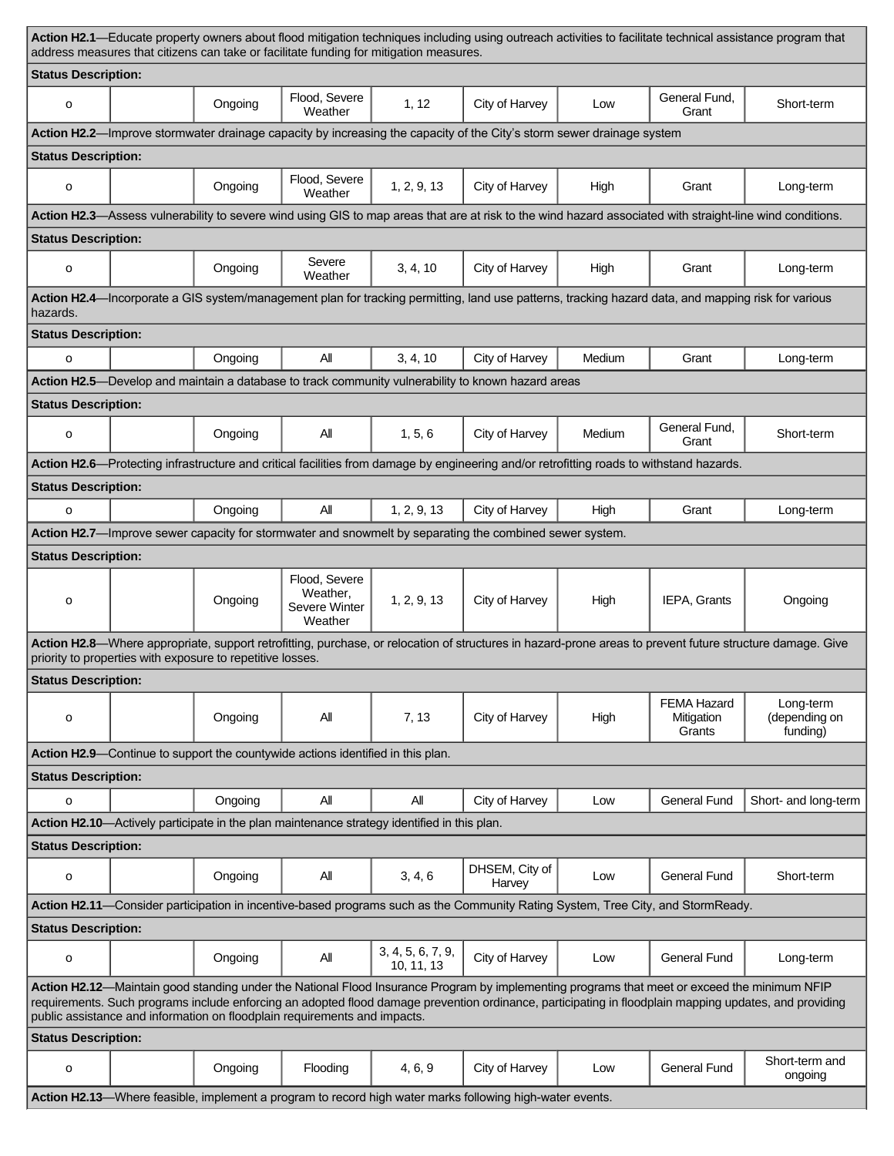| Action H2.1—Educate property owners about flood mitigation techniques including using outreach activities to facilitate technical assistance program that<br>address measures that citizens can take or facilitate funding for mitigation measures.                                                                                                                                 |                            |                                                            |                                                                                 |                                                                                             |                                                                                                                                                     |        |                                            |                                                                                                                                                           |  |
|-------------------------------------------------------------------------------------------------------------------------------------------------------------------------------------------------------------------------------------------------------------------------------------------------------------------------------------------------------------------------------------|----------------------------|------------------------------------------------------------|---------------------------------------------------------------------------------|---------------------------------------------------------------------------------------------|-----------------------------------------------------------------------------------------------------------------------------------------------------|--------|--------------------------------------------|-----------------------------------------------------------------------------------------------------------------------------------------------------------|--|
| <b>Status Description:</b>                                                                                                                                                                                                                                                                                                                                                          |                            |                                                            |                                                                                 |                                                                                             |                                                                                                                                                     |        |                                            |                                                                                                                                                           |  |
| o                                                                                                                                                                                                                                                                                                                                                                                   |                            | Ongoing                                                    | Flood, Severe<br>Weather                                                        | 1, 12                                                                                       | City of Harvey                                                                                                                                      | Low    | General Fund,<br>Grant                     | Short-term                                                                                                                                                |  |
| Action H2.2—Improve stormwater drainage capacity by increasing the capacity of the City's storm sewer drainage system                                                                                                                                                                                                                                                               |                            |                                                            |                                                                                 |                                                                                             |                                                                                                                                                     |        |                                            |                                                                                                                                                           |  |
| <b>Status Description:</b>                                                                                                                                                                                                                                                                                                                                                          |                            |                                                            |                                                                                 |                                                                                             |                                                                                                                                                     |        |                                            |                                                                                                                                                           |  |
| o                                                                                                                                                                                                                                                                                                                                                                                   |                            | Ongoing                                                    | Flood, Severe<br>Weather                                                        | 1, 2, 9, 13                                                                                 | City of Harvey                                                                                                                                      | High   | Grant                                      | Long-term                                                                                                                                                 |  |
|                                                                                                                                                                                                                                                                                                                                                                                     |                            |                                                            |                                                                                 |                                                                                             |                                                                                                                                                     |        |                                            | Action H2.3—Assess vulnerability to severe wind using GIS to map areas that are at risk to the wind hazard associated with straight-line wind conditions. |  |
|                                                                                                                                                                                                                                                                                                                                                                                     | <b>Status Description:</b> |                                                            |                                                                                 |                                                                                             |                                                                                                                                                     |        |                                            |                                                                                                                                                           |  |
| o                                                                                                                                                                                                                                                                                                                                                                                   |                            | Ongoing                                                    | Severe<br>Weather                                                               | 3, 4, 10                                                                                    | City of Harvey                                                                                                                                      | High   | Grant                                      | Long-term                                                                                                                                                 |  |
| hazards.                                                                                                                                                                                                                                                                                                                                                                            |                            |                                                            |                                                                                 |                                                                                             | Action H2.4—Incorporate a GIS system/management plan for tracking permitting, land use patterns, tracking hazard data, and mapping risk for various |        |                                            |                                                                                                                                                           |  |
| <b>Status Description:</b>                                                                                                                                                                                                                                                                                                                                                          |                            |                                                            |                                                                                 |                                                                                             |                                                                                                                                                     |        |                                            |                                                                                                                                                           |  |
| o                                                                                                                                                                                                                                                                                                                                                                                   |                            | Ongoing                                                    | All                                                                             | 3, 4, 10                                                                                    | City of Harvey                                                                                                                                      | Medium | Grant                                      | Long-term                                                                                                                                                 |  |
|                                                                                                                                                                                                                                                                                                                                                                                     |                            |                                                            |                                                                                 |                                                                                             | Action H2.5-Develop and maintain a database to track community vulnerability to known hazard areas                                                  |        |                                            |                                                                                                                                                           |  |
| <b>Status Description:</b>                                                                                                                                                                                                                                                                                                                                                          |                            |                                                            |                                                                                 |                                                                                             |                                                                                                                                                     |        |                                            |                                                                                                                                                           |  |
| o                                                                                                                                                                                                                                                                                                                                                                                   |                            | Ongoing                                                    | Αll                                                                             | 1, 5, 6                                                                                     | City of Harvey                                                                                                                                      | Medium | General Fund,<br>Grant                     | Short-term                                                                                                                                                |  |
| Action H2.6—Protecting infrastructure and critical facilities from damage by engineering and/or retrofitting roads to withstand hazards.                                                                                                                                                                                                                                            |                            |                                                            |                                                                                 |                                                                                             |                                                                                                                                                     |        |                                            |                                                                                                                                                           |  |
| <b>Status Description:</b>                                                                                                                                                                                                                                                                                                                                                          |                            |                                                            |                                                                                 |                                                                                             |                                                                                                                                                     |        |                                            |                                                                                                                                                           |  |
| $\circ$                                                                                                                                                                                                                                                                                                                                                                             |                            | Ongoing                                                    | All                                                                             | 1, 2, 9, 13                                                                                 | City of Harvey                                                                                                                                      | High   | Grant                                      | Long-term                                                                                                                                                 |  |
|                                                                                                                                                                                                                                                                                                                                                                                     |                            |                                                            |                                                                                 |                                                                                             | Action H2.7—Improve sewer capacity for stormwater and snowmelt by separating the combined sewer system.                                             |        |                                            |                                                                                                                                                           |  |
| <b>Status Description:</b>                                                                                                                                                                                                                                                                                                                                                          |                            |                                                            |                                                                                 |                                                                                             |                                                                                                                                                     |        |                                            |                                                                                                                                                           |  |
| o                                                                                                                                                                                                                                                                                                                                                                                   |                            | Ongoing                                                    | Flood, Severe<br>Weather,<br>Severe Winter<br>Weather                           | 1, 2, 9, 13                                                                                 | City of Harvey                                                                                                                                      | High   | IEPA, Grants                               | Ongoing                                                                                                                                                   |  |
|                                                                                                                                                                                                                                                                                                                                                                                     |                            |                                                            |                                                                                 |                                                                                             |                                                                                                                                                     |        |                                            | Action H2.8-Where appropriate, support retrofitting, purchase, or relocation of structures in hazard-prone areas to prevent future structure damage. Give |  |
|                                                                                                                                                                                                                                                                                                                                                                                     |                            | priority to properties with exposure to repetitive losses. |                                                                                 |                                                                                             |                                                                                                                                                     |        |                                            |                                                                                                                                                           |  |
| <b>Status Description:</b>                                                                                                                                                                                                                                                                                                                                                          |                            |                                                            |                                                                                 |                                                                                             |                                                                                                                                                     |        |                                            |                                                                                                                                                           |  |
| o                                                                                                                                                                                                                                                                                                                                                                                   |                            | Ongoing                                                    | All                                                                             | 7, 13                                                                                       | City of Harvey                                                                                                                                      | High   | <b>FEMA Hazard</b><br>Mitigation<br>Grants | Long-term<br>(depending on<br>funding)                                                                                                                    |  |
|                                                                                                                                                                                                                                                                                                                                                                                     |                            |                                                            | Action H2.9-Continue to support the countywide actions identified in this plan. |                                                                                             |                                                                                                                                                     |        |                                            |                                                                                                                                                           |  |
| <b>Status Description:</b>                                                                                                                                                                                                                                                                                                                                                          |                            |                                                            |                                                                                 |                                                                                             |                                                                                                                                                     |        |                                            |                                                                                                                                                           |  |
| o                                                                                                                                                                                                                                                                                                                                                                                   |                            | Ongoing                                                    | All                                                                             | All                                                                                         | City of Harvey                                                                                                                                      | Low    | <b>General Fund</b>                        | Short- and long-term                                                                                                                                      |  |
|                                                                                                                                                                                                                                                                                                                                                                                     |                            |                                                            |                                                                                 | Action H2.10-Actively participate in the plan maintenance strategy identified in this plan. |                                                                                                                                                     |        |                                            |                                                                                                                                                           |  |
| <b>Status Description:</b>                                                                                                                                                                                                                                                                                                                                                          |                            |                                                            |                                                                                 |                                                                                             |                                                                                                                                                     |        |                                            |                                                                                                                                                           |  |
| o                                                                                                                                                                                                                                                                                                                                                                                   |                            | Ongoing                                                    | All                                                                             | 3, 4, 6                                                                                     | DHSEM, City of<br>Harvey                                                                                                                            | Low    | <b>General Fund</b>                        | Short-term                                                                                                                                                |  |
| Action H2.11—Consider participation in incentive-based programs such as the Community Rating System, Tree City, and StormReady.                                                                                                                                                                                                                                                     |                            |                                                            |                                                                                 |                                                                                             |                                                                                                                                                     |        |                                            |                                                                                                                                                           |  |
| <b>Status Description:</b>                                                                                                                                                                                                                                                                                                                                                          |                            |                                                            |                                                                                 |                                                                                             |                                                                                                                                                     |        |                                            |                                                                                                                                                           |  |
| o                                                                                                                                                                                                                                                                                                                                                                                   |                            | Ongoing                                                    | All                                                                             | 3, 4, 5, 6, 7, 9,<br>10, 11, 13                                                             | City of Harvey                                                                                                                                      | Low    | <b>General Fund</b>                        | Long-term                                                                                                                                                 |  |
| Action H2.12-Maintain good standing under the National Flood Insurance Program by implementing programs that meet or exceed the minimum NFIP<br>requirements. Such programs include enforcing an adopted flood damage prevention ordinance, participating in floodplain mapping updates, and providing<br>public assistance and information on floodplain requirements and impacts. |                            |                                                            |                                                                                 |                                                                                             |                                                                                                                                                     |        |                                            |                                                                                                                                                           |  |
| <b>Status Description:</b>                                                                                                                                                                                                                                                                                                                                                          |                            |                                                            |                                                                                 |                                                                                             |                                                                                                                                                     |        |                                            |                                                                                                                                                           |  |
| o                                                                                                                                                                                                                                                                                                                                                                                   |                            | Ongoing                                                    | Flooding                                                                        | 4, 6, 9                                                                                     | City of Harvey                                                                                                                                      | Low    | <b>General Fund</b>                        | Short-term and<br>ongoing                                                                                                                                 |  |
| Action H2.13—Where feasible, implement a program to record high water marks following high-water events.                                                                                                                                                                                                                                                                            |                            |                                                            |                                                                                 |                                                                                             |                                                                                                                                                     |        |                                            |                                                                                                                                                           |  |